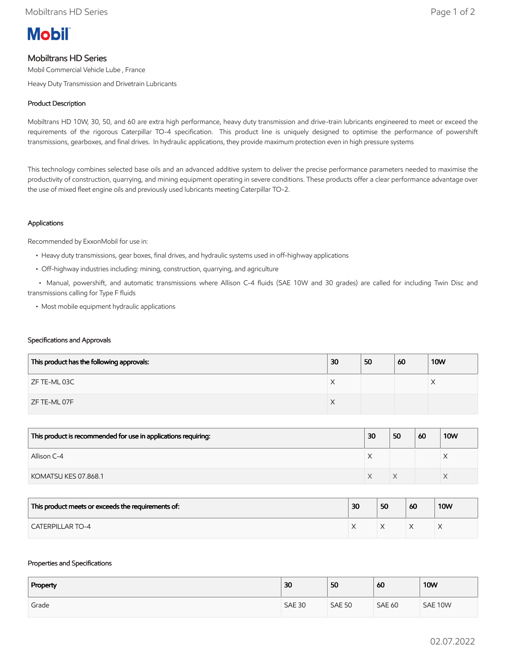

# Mobiltrans HD Series

Mobil Commercial Vehicle Lube , France

Heavy Duty Transmission and Drivetrain Lubricants

## Product Description

Mobiltrans HD 10W, 30, 50, and 60 are extra high performance, heavy duty transmission and drive-train lubricants engineered to meet or exceed the requirements of the rigorous Caterpillar TO-4 specification. This product line is uniquely designed to optimise the performance of powershift transmissions, gearboxes, and final drives. In hydraulic applications, they provide maximum protection even in high pressure systems

This technology combines selected base oils and an advanced additive system to deliver the precise performance parameters needed to maximise the productivity of construction, quarrying, and mining equipment operating in severe conditions. These products offer a clear performance advantage over the use of mixed fleet engine oils and previously used lubricants meeting Caterpillar TO-2.

### Applications

Recommended by ExxonMobil for use in:

- Heavy duty transmissions, gear boxes, final drives, and hydraulic systems used in off-highway applications
- Off-highway industries including: mining, construction, quarrying, and agriculture

 • Manual, powershift, and automatic transmissions where Allison C-4 fluids (SAE 10W and 30 grades) are called for including Twin Disc and transmissions calling for Type F fluids

• Most mobile equipment hydraulic applications

#### Specifications and Approvals

| This product has the following approvals: | 30 | 50 | 60 | <b>10W</b> |
|-------------------------------------------|----|----|----|------------|
| ZF TE-ML 03C                              | ∧  |    |    |            |
| ZF TE-ML 07F                              | ∧  |    |    |            |

| This product is recommended for use in applications requiring: | 30 | 50 | 60 | <b>10W</b> |
|----------------------------------------------------------------|----|----|----|------------|
| Allison C-4                                                    |    |    |    | ⌒          |
| KOMATSU KES 07.868.1                                           |    |    |    |            |

| This product meets or exceeds the requirements of: | 30 | 50 | 60 | <b>10W</b> |
|----------------------------------------------------|----|----|----|------------|
| <b>CATERPILLAR TO-4</b>                            |    |    |    |            |

#### Properties and Specifications

| Property | 30            | 50            | 60            | <b>10W</b> |
|----------|---------------|---------------|---------------|------------|
| Grade    | <b>SAE 30</b> | <b>SAE 50</b> | <b>SAE 60</b> | SAE 10W    |